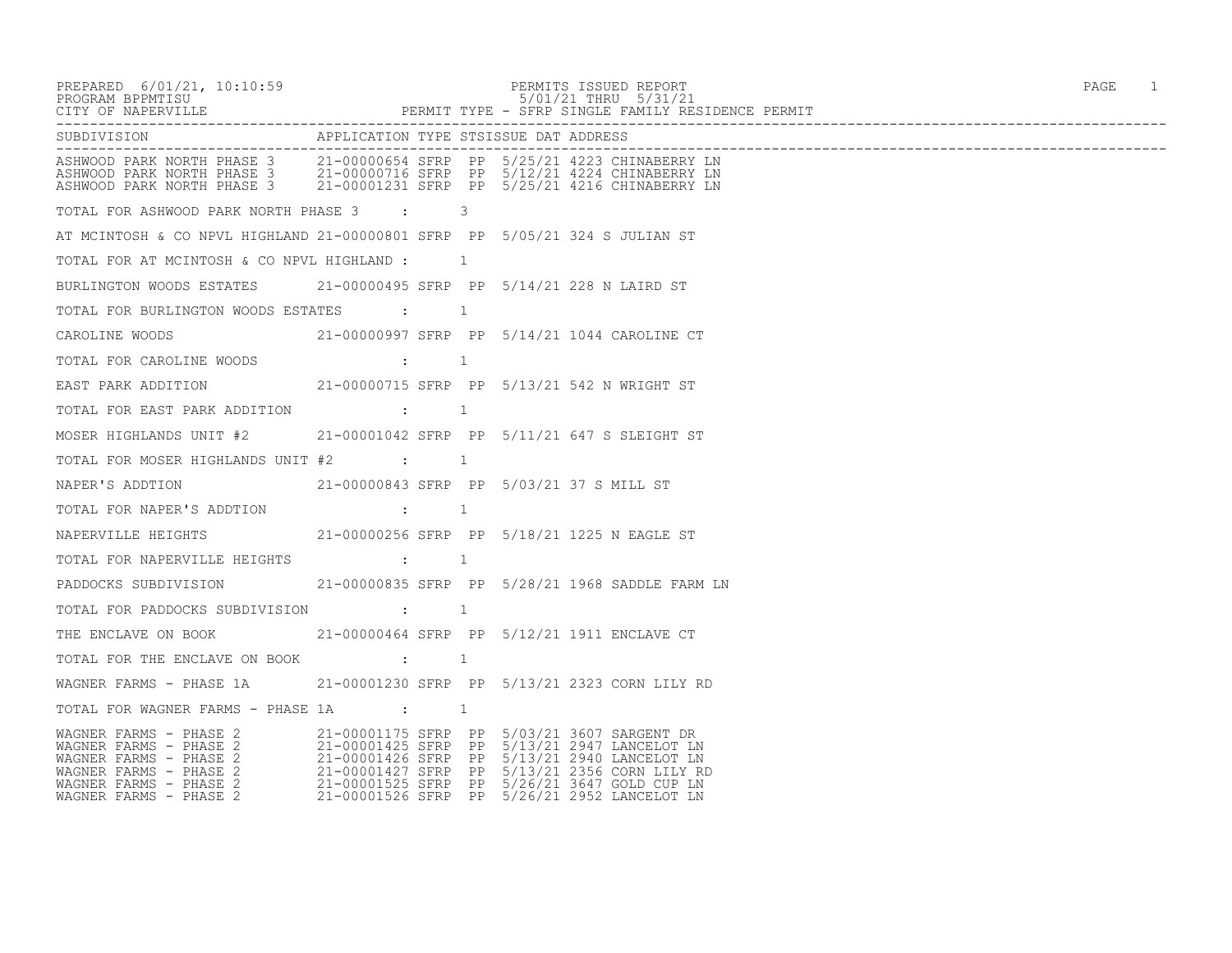| PREPARED 6/01/21, 10:10:59                                                                                                                                                                                                                                             |                                                                                                                                                                                                                                                                                                                                              | PERMITS ISSUED REPORT                 | PAGE 1 |
|------------------------------------------------------------------------------------------------------------------------------------------------------------------------------------------------------------------------------------------------------------------------|----------------------------------------------------------------------------------------------------------------------------------------------------------------------------------------------------------------------------------------------------------------------------------------------------------------------------------------------|---------------------------------------|--------|
| SUBDIVISION                                                                                                                                                                                                                                                            |                                                                                                                                                                                                                                                                                                                                              | APPLICATION TYPE STSISSUE DAT ADDRESS |        |
| ------------------------------<br>ASHWOOD PARK NORTH PHASE 3      21-00000654 SFRP PP 5/25/21 4223 CHINABERRY LN<br>ASHWOOD PARK NORTH PHASE 3     21-00000716 SFRP PP 5/12/21 4224 CHINABERRY LN<br>ASHWOOD PARK NORTH PHASE 3     21-00001231 SFRP PP 5/25/21 4216 C |                                                                                                                                                                                                                                                                                                                                              |                                       |        |
| TOTAL FOR ASHWOOD PARK NORTH PHASE 3 : 3                                                                                                                                                                                                                               |                                                                                                                                                                                                                                                                                                                                              |                                       |        |
| AT MCINTOSH & CO NPVL HIGHLAND 21-00000801 SFRP PP 5/05/21 324 S JULIAN ST                                                                                                                                                                                             |                                                                                                                                                                                                                                                                                                                                              |                                       |        |
| TOTAL FOR AT MCINTOSH & CO NPVL HIGHLAND : $\qquad \qquad 1$                                                                                                                                                                                                           |                                                                                                                                                                                                                                                                                                                                              |                                       |        |
| BURLINGTON WOODS ESTATES     21-00000495 SFRP PP 5/14/21 228 N LAIRD ST                                                                                                                                                                                                |                                                                                                                                                                                                                                                                                                                                              |                                       |        |
| TOTAL FOR BURLINGTON WOODS ESTATES : 1                                                                                                                                                                                                                                 |                                                                                                                                                                                                                                                                                                                                              |                                       |        |
| CAROLINE WOODS           21-00000997 SFRP PP 5/14/21 1044 CAROLINE CT                                                                                                                                                                                                  |                                                                                                                                                                                                                                                                                                                                              |                                       |        |
| TOTAL FOR CAROLINE WOODS                                                                                                                                                                                                                                               |                                                                                                                                                                                                                                                                                                                                              |                                       |        |
| EAST PARK ADDITION        21-00000715 SFRP PP 5/13/21 542 N WRIGHT ST                                                                                                                                                                                                  |                                                                                                                                                                                                                                                                                                                                              |                                       |        |
| TOTAL FOR EAST PARK ADDITION : 1                                                                                                                                                                                                                                       |                                                                                                                                                                                                                                                                                                                                              |                                       |        |
| MOSER HIGHLANDS UNIT #2      21-00001042 SFRP PP  5/11/21 647 S SLEIGHT ST                                                                                                                                                                                             |                                                                                                                                                                                                                                                                                                                                              |                                       |        |
| TOTAL FOR MOSER HIGHLANDS UNIT #2 $\qquad \qquad :$                                                                                                                                                                                                                    |                                                                                                                                                                                                                                                                                                                                              |                                       |        |
|                                                                                                                                                                                                                                                                        |                                                                                                                                                                                                                                                                                                                                              |                                       |        |
| TOTAL FOR NAPER'S ADDTION                                                                                                                                                                                                                                              | . The contract of $\mathbf{r}$ and $\mathbf{r}$ and $\mathbf{r}$ and $\mathbf{r}$ and $\mathbf{r}$ and $\mathbf{r}$                                                                                                                                                                                                                          |                                       |        |
|                                                                                                                                                                                                                                                                        |                                                                                                                                                                                                                                                                                                                                              |                                       |        |
| TOTAL FOR NAPERVILLE HEIGHTS                                                                                                                                                                                                                                           |                                                                                                                                                                                                                                                                                                                                              |                                       |        |
|                                                                                                                                                                                                                                                                        |                                                                                                                                                                                                                                                                                                                                              |                                       |        |
| TOTAL FOR PADDOCKS SUBDIVISION                                                                                                                                                                                                                                         | $\cdots$ $\cdots$ $\cdots$ $\cdots$ $\cdots$ $\cdots$ $\cdots$ $\cdots$ $\cdots$ $\cdots$ $\cdots$ $\cdots$ $\cdots$ $\cdots$ $\cdots$ $\cdots$ $\cdots$ $\cdots$ $\cdots$ $\cdots$ $\cdots$ $\cdots$ $\cdots$ $\cdots$ $\cdots$ $\cdots$ $\cdots$ $\cdots$ $\cdots$ $\cdots$ $\cdots$ $\cdots$ $\cdots$ $\cdots$ $\cdots$ $\cdots$ $\cdots$ |                                       |        |
|                                                                                                                                                                                                                                                                        |                                                                                                                                                                                                                                                                                                                                              |                                       |        |
| TOTAL FOR THE ENCLAVE ON BOOK : : 1                                                                                                                                                                                                                                    |                                                                                                                                                                                                                                                                                                                                              |                                       |        |
| WAGNER FARMS - PHASE 1A         21-00001230 SFRP  PP  5/13/21 2323 CORN LILY RD                                                                                                                                                                                        |                                                                                                                                                                                                                                                                                                                                              |                                       |        |
|                                                                                                                                                                                                                                                                        |                                                                                                                                                                                                                                                                                                                                              |                                       |        |
| WAGNER FARMS - PHASE 2<br>WAGNER FARMS - PHASE 2<br>WAGNER FARMS - PHASE 2<br>21-00001425 SFRP PP 5/13/21 2947 LANCELOT LN<br>WAGNER FARMS - PHASE 2<br>21-00001427 SFRP PP 5/13/21 2940 LANCELOT LN<br>WAGNER FARMS - PHASE 2<br>21-0000152                           |                                                                                                                                                                                                                                                                                                                                              |                                       |        |